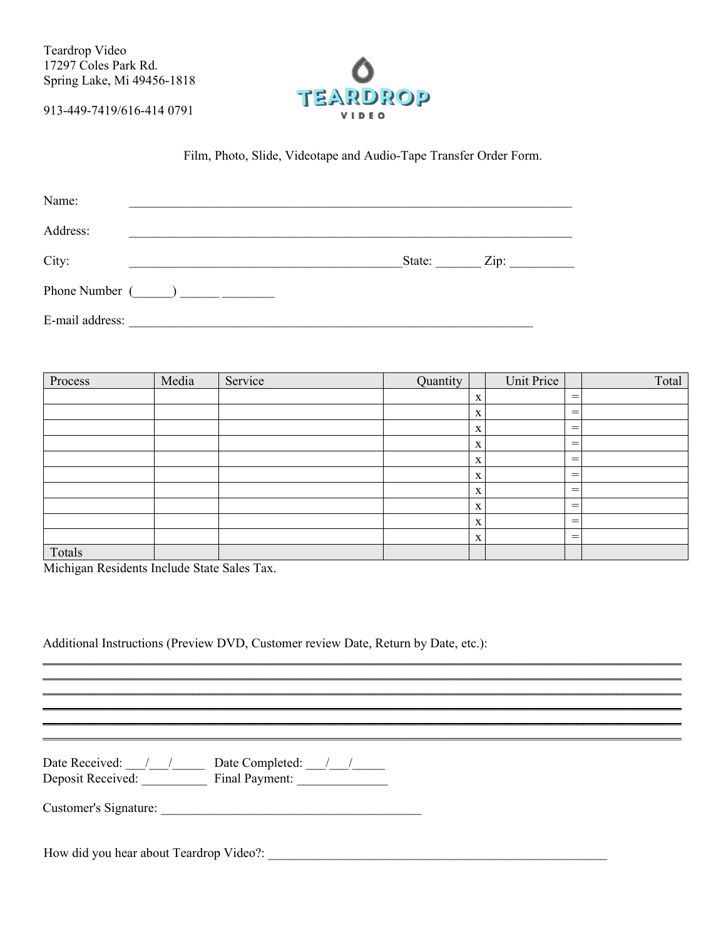Teardrop Video 17297 Coles Park Rd. Spring Lake, Mi 49456-1818

913-449-7419/616-414 0791



Film, Photo, Slide, Videotape and Audio-Tape Transfer Order Form.

| Name:                        |        |                 |
|------------------------------|--------|-----------------|
| Address:                     |        |                 |
| City:                        | State: | $\mathbf{Zip:}$ |
| Phone Number $(\_\_\_\_\_\_$ |        |                 |
| E-mail address:              |        |                 |

| Process | Media | Service | Quantity |             | Unit Price |                                | Total |
|---------|-------|---------|----------|-------------|------------|--------------------------------|-------|
|         |       |         |          | X           |            | $=$                            |       |
|         |       |         |          | $\mathbf X$ |            | $=$                            |       |
|         |       |         |          | $\mathbf X$ |            | $=$                            |       |
|         |       |         |          | X           |            | $=$                            |       |
|         |       |         |          | X           |            | $=$                            |       |
|         |       |         |          | X           |            | $=$                            |       |
|         |       |         |          | $\mathbf X$ |            | $=$                            |       |
|         |       |         |          | X           |            | $=$                            |       |
|         |       |         |          | X           |            | $\qquad \qquad =\qquad \qquad$ |       |
|         |       |         |          | X           |            | $\qquad \qquad =\qquad \qquad$ |       |
| Totals  |       |         |          |             |            |                                |       |

<u> 1989 - Johann Stoff, deutscher Stoffen und der Stoffen und der Stoffen und der Stoffen und der Stoffen und der</u>

Michigan Residents Include State Sales Tax.

Additional Instructions (Preview DVD, Customer review Date, Return by Date, etc.):

Customer's Signature: